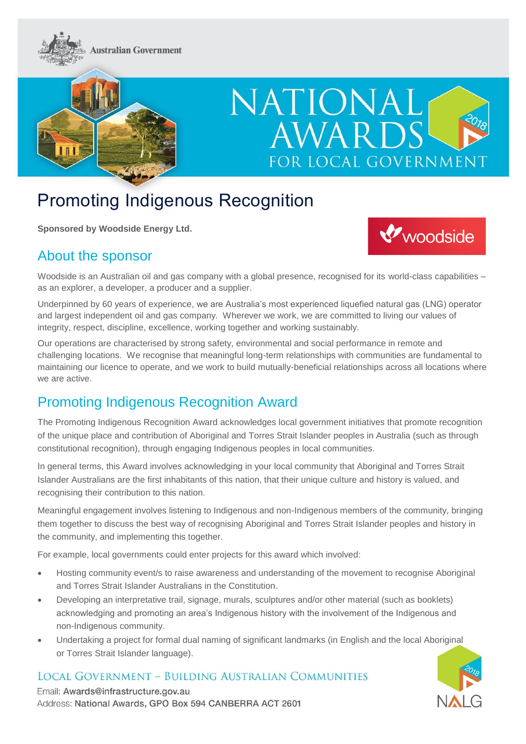



# NATIONAL **AWAR** FOR LOCAL GOVERNMENT

## Promoting Indigenous Recognition

**Sponsored by Woodside Energy Ltd.**

#### About the sponsor



Woodside is an Australian oil and gas company with a global presence, recognised for its world-class capabilities – as an explorer, a developer, a producer and a supplier.

Underpinned by 60 years of experience, we are Australia's most experienced liquefied natural gas (LNG) operator and largest independent oil and gas company. Wherever we work, we are committed to living our values of integrity, respect, discipline, excellence, working together and working sustainably.

Our operations are characterised by strong safety, environmental and social performance in remote and challenging locations. We recognise that meaningful long-term relationships with communities are fundamental to maintaining our licence to operate, and we work to build mutually-beneficial relationships across all locations where we are active.

### Promoting Indigenous Recognition Award

The Promoting Indigenous Recognition Award acknowledges local government initiatives that promote recognition of the unique place and contribution of Aboriginal and Torres Strait Islander peoples in Australia (such as through constitutional recognition), through engaging Indigenous peoples in local communities.

In general terms, this Award involves acknowledging in your local community that Aboriginal and Torres Strait Islander Australians are the first inhabitants of this nation, that their unique culture and history is valued, and recognising their contribution to this nation.

Meaningful engagement involves listening to Indigenous and non-Indigenous members of the community, bringing them together to discuss the best way of recognising Aboriginal and Torres Strait Islander peoples and history in the community, and implementing this together.

For example, local governments could enter projects for this award which involved:

- Hosting community event/s to raise awareness and understanding of the movement to recognise Aboriginal and Torres Strait Islander Australians in the Constitution.
- Developing an interpretative trail, signage, murals, sculptures and/or other material (such as booklets) acknowledging and promoting an area's Indigenous history with the involvement of the Indigenous and non-Indigenous community.
- Undertaking a project for formal dual naming of significant landmarks (in English and the local Aboriginal or Torres Strait Islander language).

#### **LOCAL GOVERNMENT - BUILDING AUSTRALIAN COMMUNITIES**

Email: Awards@infrastructure.gov.au Address: National Awards, GPO Box 594 CANBERRA ACT 2601